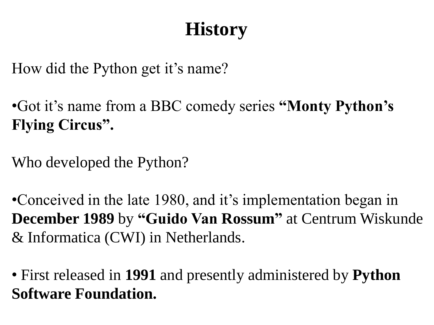# **History**

How did the Python get it's name?

•Got it's name from a BBC comedy series **"Monty Python's Flying Circus".**

Who developed the Python?

•Conceived in the late 1980, and it's implementation began in **December 1989** by **"Guido Van Rossum"** at Centrum Wiskunde & Informatica (CWI) in Netherlands.

• First released in **1991** and presently administered by **Python Software Foundation.**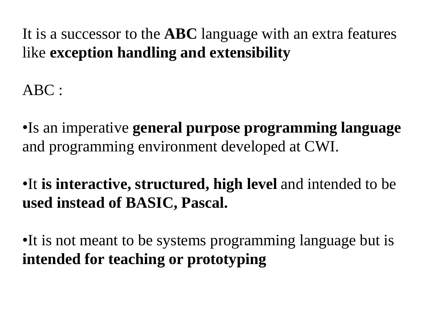It is a successor to the **ABC** language with an extra features like **exception handling and extensibility**

ABC :

•Is an imperative **general purpose programming language**  and programming environment developed at CWI.

•It **is interactive, structured, high level** and intended to be **used instead of BASIC, Pascal.**

•It is not meant to be systems programming language but is **intended for teaching or prototyping**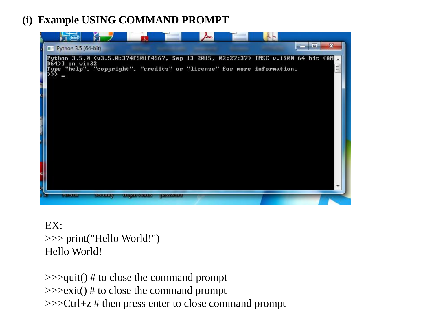#### **(i) Example USING COMMAND PROMPT**



#### EX: >>> print("Hello World!") Hello World!

>>>quit() # to close the command prompt >>>exit() # to close the command prompt >>>Ctrl+z # then press enter to close command prompt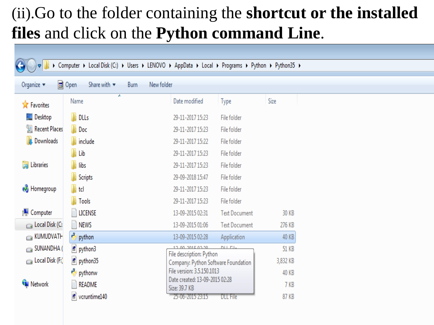## (ii).Go to the folder containing the **shortcut or the installed files** and click on the **Python command Line**.

| Computer > Local Disk (C:) > Users > LENOVO > AppData > Local > Programs > Python > Python35 > |                                                   |                                              |                                                              |              |  |  |
|------------------------------------------------------------------------------------------------|---------------------------------------------------|----------------------------------------------|--------------------------------------------------------------|--------------|--|--|
|                                                                                                |                                                   |                                              |                                                              |              |  |  |
| Organize $\blacktriangledown$                                                                  | 同 Open<br>Share with $\blacktriangledown$<br>Burn | New folder                                   |                                                              |              |  |  |
| <b>X</b> Favorites                                                                             | ۸<br>Name                                         | Date modified                                | Type                                                         | Size         |  |  |
| <b>Desktop</b>                                                                                 | <b>N</b> DLLs                                     | 29-11-2017 15:23                             | File folder                                                  |              |  |  |
| <b>Recent Places</b>                                                                           | Doc                                               | 29-11-2017 15:23                             | File folder                                                  |              |  |  |
| <b>Downloads</b>                                                                               | <b>Winclude</b>                                   | 29-11-2017 15:22                             | File folder                                                  |              |  |  |
|                                                                                                | Lib                                               | 29-11-2017 15:23                             | File folder                                                  |              |  |  |
| <b>Deal</b> Libraries                                                                          | libs                                              | 29-11-2017 15:23                             | File folder                                                  |              |  |  |
|                                                                                                | <b>Scripts</b>                                    | 29-09-2018 15:47                             | File folder                                                  |              |  |  |
| <b>R</b> Homegroup                                                                             | td                                                | 29-11-2017 15:23                             | File folder                                                  |              |  |  |
|                                                                                                | Tools                                             | 29-11-2017 15:23                             | File folder                                                  |              |  |  |
| <b>I</b> Computer                                                                              | <b>LICENSE</b>                                    | 13-09-2015 02:31                             | <b>Text Document</b>                                         | 30 KB        |  |  |
| Local Disk (C:                                                                                 | NEWS                                              | 13-09-2015 01:06                             | <b>Text Document</b>                                         | 276 KB       |  |  |
| KUMUDVATH                                                                                      | Ą<br>python                                       | 13-09-2015 02:28                             | Application                                                  | <b>40 KB</b> |  |  |
| $\bigcirc$ SUNANDHA (                                                                          | python3                                           | 12:00:2015 02:20<br>File description: Python | <b>NULLEL</b>                                                | <b>51 KB</b> |  |  |
| $\Box$ Local Disk (F:)                                                                         | python35                                          | Company: Python Software Foundation          |                                                              | 3,832 KB     |  |  |
|                                                                                                | pythonw                                           |                                              | File version: 3.5.150.1013<br>Date created: 13-09-2015 02:28 |              |  |  |
| <b>Gu</b> Network                                                                              | <b>README</b>                                     | Size: 39.7 KB                                |                                                              | 7 KB         |  |  |
|                                                                                                | oruntime140                                       | 25-06-2015 23:15                             | <b>DLL</b> File                                              | <b>87 KB</b> |  |  |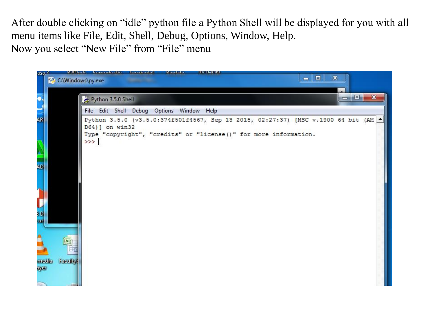After double clicking on "idle" python file a Python Shell will be displayed for you with all menu items like File, Edit, Shell, Debug, Options, Window, Help. Now you select "New File" from "File" menu

| asa $\geq$<br>C:\Windows\py.exe                                                           | Rilliach bumudirathu lawaharlal<br><b>Hundata</b><br><b>DVILION</b>                                                                                                             | $\mathbf x$<br>$\Box$<br>$\equiv$ |            |              |
|-------------------------------------------------------------------------------------------|---------------------------------------------------------------------------------------------------------------------------------------------------------------------------------|-----------------------------------|------------|--------------|
| 6,                                                                                        | Python 3.5.0 Shell                                                                                                                                                              |                                   | $=$ $\Box$ | $\mathbf{x}$ |
| $\Rightarrow$                                                                             | File Edit Shell Debug Options Window Help                                                                                                                                       |                                   |            |              |
| 4R<br><b>NO</b><br>AD.<br>'n.<br>Ū<br>HD.<br>ur<br><b>Faculty</b><br>media<br><b>AyEt</b> | Python 3.5.0 (v3.5.0:374f501f4567, Sep 13 2015, 02:27:37) [MSC v.1900 64 bit (AM -<br>D64) ] on win32<br>Type "copyright", "credits" or "license()" for more information.<br>>> |                                   |            |              |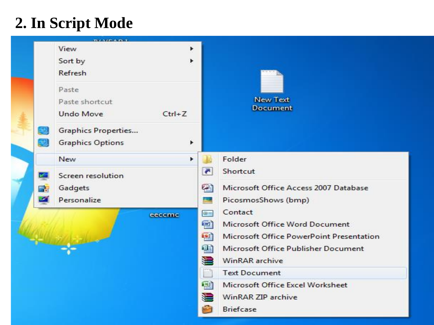## **2. In Script Mode**

| <b>BARRADIT</b>                                                                              |                                                                                                                                                                              |
|----------------------------------------------------------------------------------------------|------------------------------------------------------------------------------------------------------------------------------------------------------------------------------|
| View<br>٠<br>Sort by<br><b>Refresh</b>                                                       |                                                                                                                                                                              |
| Paste<br>Paste shortcut<br><b>Undo Move</b><br>$Ctrl + Z$                                    | New Text<br><b>Document</b>                                                                                                                                                  |
| <b>Graphics Properties</b><br>æ<br><b>Graphics Options</b>                                   |                                                                                                                                                                              |
| New<br>$\blacktriangleright$                                                                 | Folder                                                                                                                                                                       |
| Screen resolution<br><b>KET</b><br>Gadgets<br><b>College</b><br>$\mathcal{L}$<br>Personalize | $\blacksquare$<br>Shortcut<br>Ø<br>Microsoft Office Access 2007 Database<br>PicosmosShows (bmp)<br>النظر                                                                     |
| eeccmc                                                                                       | Contact<br>$Q =$<br>呬<br>Microsoft Office Word Document<br>中<br>Microsoft Office PowerPoint Presentation<br>E)<br>Microsoft Office Publisher Document<br>t<br>WinRAR archive |
|                                                                                              | <b>Text Document</b>                                                                                                                                                         |
|                                                                                              | 図<br>Microsoft Office Excel Worksheet<br>៶⊒<br>WinRAR ZIP archive<br><b>Briefcase</b>                                                                                        |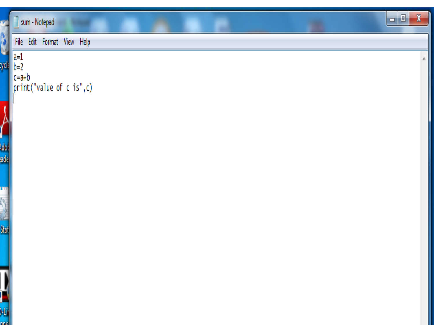|                                                                                                                                                                                                                                     | $\pmb{\mathsf{X}}$<br>$\Box$ e<br>sum - Notepad                                                          |
|-------------------------------------------------------------------------------------------------------------------------------------------------------------------------------------------------------------------------------------|----------------------------------------------------------------------------------------------------------|
| ٥                                                                                                                                                                                                                                   | File Edit Format View Help                                                                               |
| ycli                                                                                                                                                                                                                                | $\begin{array}{ l l }\n\hline a=1 & b=2 & c=a+b & \text{print("value of c is", c)}\n\hline\n\end{array}$ |
| $\sum_{\text{dot}}$                                                                                                                                                                                                                 |                                                                                                          |
|                                                                                                                                                                                                                                     |                                                                                                          |
| m<br>es and the second second second second second second second second second second second second second second second second second second second second second second second second second second second second second second s |                                                                                                          |
| Π<br>-Li<br>Ine.                                                                                                                                                                                                                    |                                                                                                          |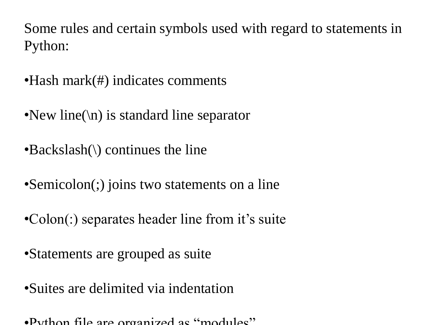Some rules and certain symbols used with regard to statements in Python:

- Hash mark(#) indicates comments
- •New line( $\langle n \rangle$  is standard line separator
- •Backslash(\) continues the line
- •Semicolon(;) joins two statements on a line
- •Colon(:) separates header line from it's suite
- •Statements are grouped as suite
- •Suites are delimited via indentation
- •Python file are organized as "modules"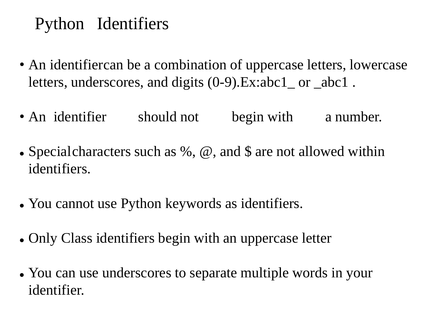## Python Identifiers

- An identifiercan be a combination of uppercase letters, lowercase letters, underscores, and digits (0-9).Ex:abc1\_ or \_abc1 .
- An identifier should not begin with a number.
- Specialcharacters such as %,  $\omega$ , and \$ are not allowed within identifiers.
- ⚫ You cannot use Python keywords as identifiers.
- Only Class identifiers begin with an uppercase letter
- You can use underscores to separate multiple words in your identifier.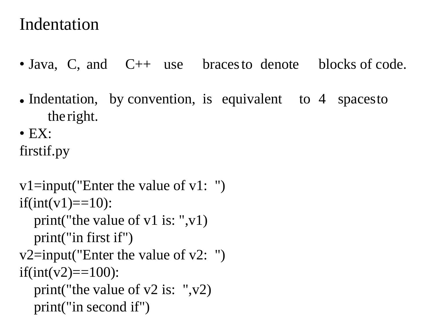### Indentation

- Java, C, and C++ use braces to denote blocks of code.
- Indentation, by convention, is equivalent to 4 spacesto the right.
- $\bullet$  EX:

firstif.py

```
v1=input("Enter the value of v1: ")
if(int(v1)=10):print("the value of v1 is: ",v1)
  print("in first if")
v2=input("Enter the value of v2: ")
if(int(v2)==100):
  print("the value of v2 is: ",v2)
  print("in second if")
```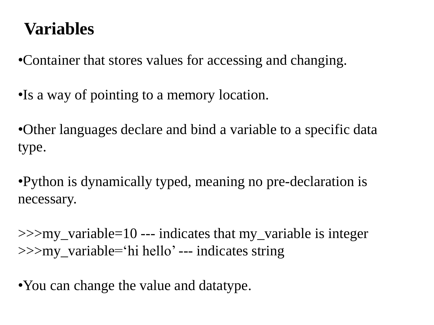## **Variables**

•Container that stores values for accessing and changing.

•Is a way of pointing to a memory location.

•Other languages declare and bind a variable to a specific data type.

•Python is dynamically typed, meaning no pre-declaration is necessary.

>>>my\_variable=10 --- indicates that my\_variable is integer >>>my\_variable='hi hello' --- indicates string

• You can change the value and datatype.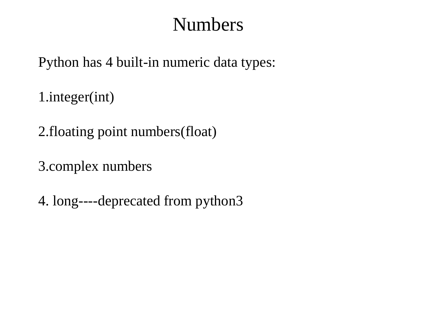## Numbers

Python has 4 built-in numeric data types:

1.integer(int)

2.floating point numbers(float)

3.complex numbers

4. long----deprecated from python3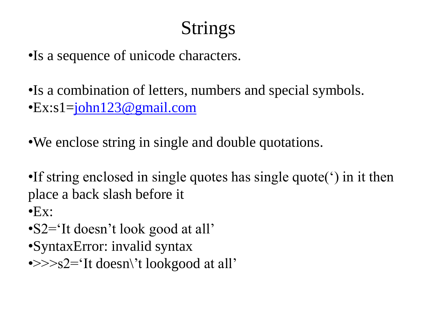# Strings

•Is a sequence of unicode characters.

•Is a combination of letters, numbers and special symbols. •Ex:s1[=john123@gmail.com](mailto:john123@gmail.com)

•We enclose string in single and double quotations.

•If string enclosed in single quotes has single quote(') in it then place a back slash before it

 $\bullet$ Ex:

- •S2='It doesn't look good at all'
- •SyntaxError: invalid syntax
- $\rightarrow$ >>s2='It doesn\'t lookgood at all'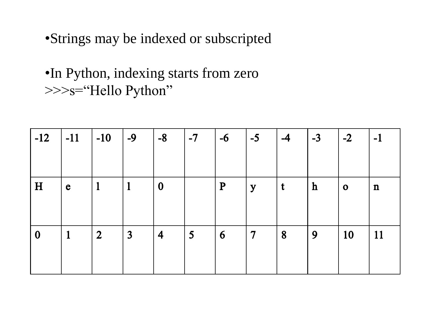•Strings may be indexed or subscripted

•In Python, indexing starts from zero >>>s="Hello Python"

| $-12$            | $\vert$ -11  | $\vert$ -10    | $\vert$ -9     | $\vert -8 \vert$        | $\vert$ -7  | $-6$      | $-5$           | $-4$        | $1 - 3$     | $\overline{\phantom{0}}$ -2 | $-1$        |
|------------------|--------------|----------------|----------------|-------------------------|-------------|-----------|----------------|-------------|-------------|-----------------------------|-------------|
| H                | $\mathbf e$  |                | $\mathbf{1}$   | $\boldsymbol{0}$        |             | ${\bf P}$ | y              | $\mathbf t$ | $\mathbf h$ | $\mathbf 0$                 | $\mathbf n$ |
| $\boldsymbol{0}$ | $\mathbf{1}$ | $\overline{2}$ | $\overline{3}$ | $\overline{\mathbf{4}}$ | $5^{\circ}$ | 6         | $\overline{7}$ | 8           | 9           | <b>10</b>                   | 11          |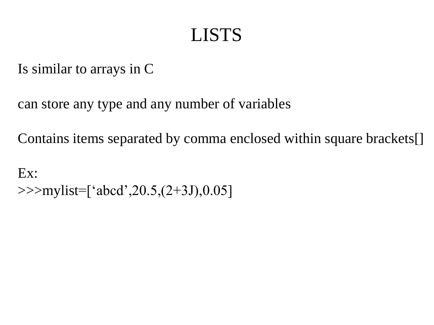## LISTS

Is similar to arrays in C

can store any type and any number of variables

Contains items separated by comma enclosed within square brackets[]

Ex: >>>mylist=['abcd',20.5,(2+3J),0.05]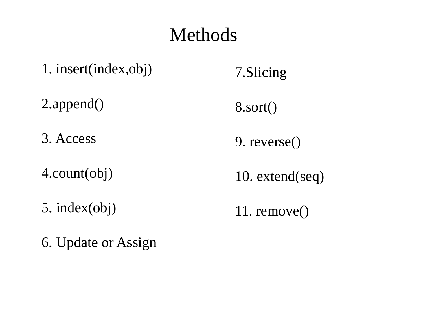## Methods

- 1. insert(index,obj) 7.Slicing
- 2.append()
- 3. Access
- 4.count(obj)
- 5. index(obj)
- 6. Update or Assign
- 8.sort()
- 9. reverse()
- 10. extend(seq)
- 11. remove()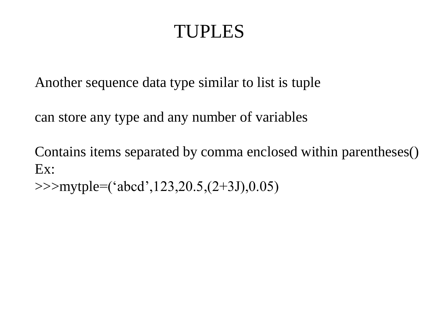## TUPLES

Another sequence data type similar to list is tuple

can store any type and any number of variables

Contains items separated by comma enclosed within parentheses() Ex:

>>>mytple=('abcd',123,20.5,(2+3J),0.05)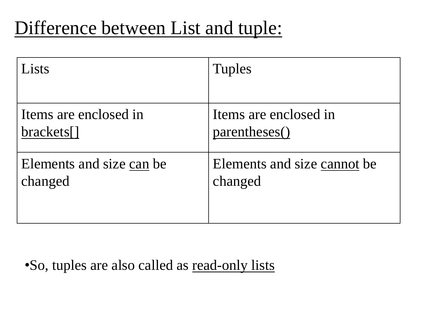## Difference between List and tuple:

| Lists                    | <b>Tuples</b>               |
|--------------------------|-----------------------------|
|                          |                             |
| Items are enclosed in    | Items are enclosed in       |
| brackets[]               | parentheses()               |
| Elements and size can be | Elements and size cannot be |
| changed                  | changed                     |

•So, tuples are also called as read-only lists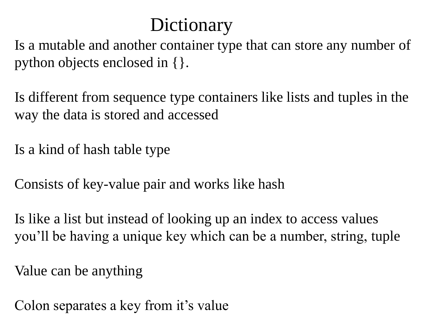## **Dictionary**

Is a mutable and another container type that can store any number of python objects enclosed in {}.

Is different from sequence type containers like lists and tuples in the way the data is stored and accessed

Is a kind of hash table type

Consists of key-value pair and works like hash

Is like a list but instead of looking up an index to access values you'll be having a unique key which can be a number, string, tuple

Value can be anything

Colon separates a key from it's value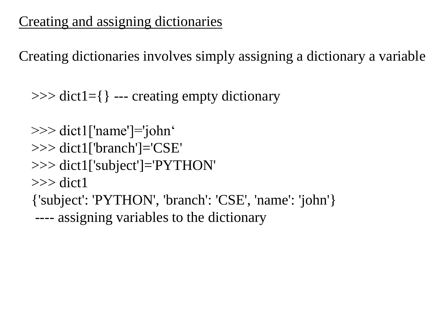### Creating and assigning dictionaries

Creating dictionaries involves simply assigning a dictionary a variable

 $\gg$  dict1={ } --- creating empty dictionary

```
>>> dict1['name']='john'
>>> dict1['branch']='CSE'
>>> dict1['subject']='PYTHON'
\gg dict1
{'subject': 'PYTHON', 'branch': 'CSE', 'name': 'john'}
---- assigning variables to the dictionary
```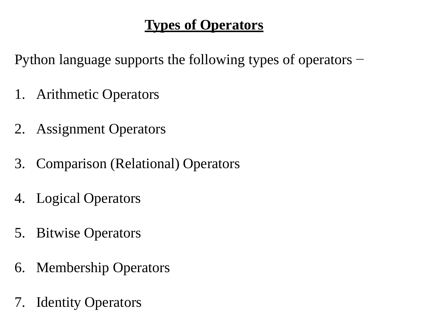#### **Types of Operators**

Python language supports the following types of operators −

- 1. Arithmetic Operators
- 2. Assignment Operators
- 3. Comparison (Relational) Operators
- 4. Logical Operators
- 5. Bitwise Operators
- 6. Membership Operators
- 7. Identity Operators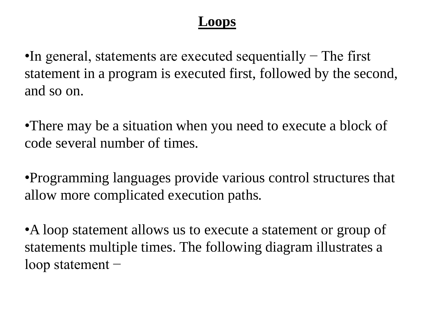#### **Loops**

•In general, statements are executed sequentially – The first statement in a program is executed first, followed by the second, and so on.

•There may be a situation when you need to execute a block of code several number of times.

•Programming languages provide various control structures that allow more complicated execution paths.

•A loop statement allows us to execute a statement or group of statements multiple times. The following diagram illustrates a loop statement −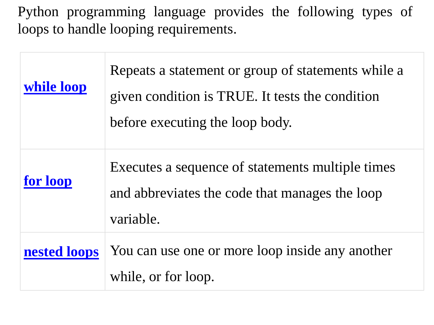Python programming language provides the following types of loops to handle looping requirements.

| while loop   | Repeats a statement or group of statements while a<br>given condition is TRUE. It tests the condition<br>before executing the loop body. |
|--------------|------------------------------------------------------------------------------------------------------------------------------------------|
| for loop     | Executes a sequence of statements multiple times<br>and abbreviates the code that manages the loop<br>variable.                          |
| nested loops | You can use one or more loop inside any another<br>while, or for loop.                                                                   |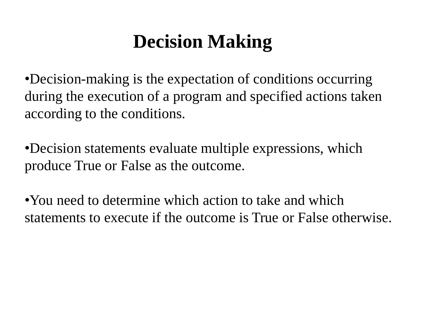## **Decision Making**

•Decision-making is the expectation of conditions occurring during the execution of a program and specified actions taken according to the conditions.

•Decision statements evaluate multiple expressions, which produce True or False as the outcome.

•You need to determine which action to take and which statements to execute if the outcome is True or False otherwise.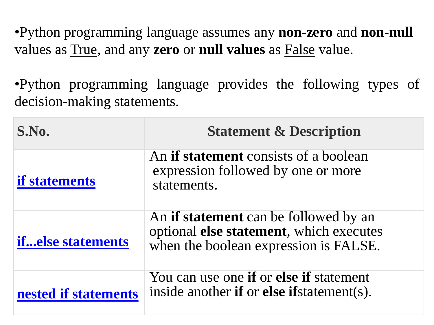•Python programming language assumes any **non-zero** and **non-null** values as True, and any **zero** or **null values** as False value.

•Python programming language provides the following types of decision-making statements.

| S.No.                    | <b>Statement &amp; Description</b>                                                                                               |
|--------------------------|----------------------------------------------------------------------------------------------------------------------------------|
| <b>if statements</b>     | An <b>if statement</b> consists of a boolean<br>expression followed by one or more<br>statements.                                |
| <b>ifelse statements</b> | An <b>if statement</b> can be followed by an<br>optional else statement, which executes<br>when the boolean expression is FALSE. |
| nested if statements     | You can use one <b>if</b> or <b>else if</b> statement<br>inside another if or else if statement(s).                              |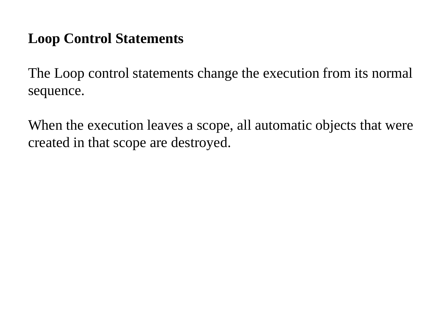### **Loop Control Statements**

The Loop control statements change the execution from its normal sequence.

When the execution leaves a scope, all automatic objects that were created in that scope are destroyed.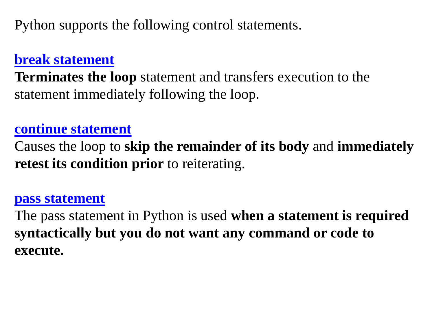Python supports the following control statements.

#### **[break statement](https://www.tutorialspoint.com/python3/python_break_statement.htm)**

**Terminates the loop** statement and transfers execution to the statement immediately following the loop.

#### **[continue statement](https://www.tutorialspoint.com/python3/python_continue_statement.htm)**

Causes the loop to **skip the remainder of its body** and **immediately retest its condition prior** to reiterating.

#### **[pass statement](https://www.tutorialspoint.com/python3/python_pass_statement.htm)**

The pass statement in Python is used **when a statement is required syntactically but you do not want any command or code to execute.**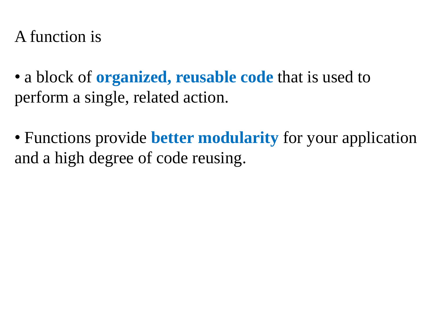### A function is

• a block of **organized, reusable code** that is used to perform a single, related action.

• Functions provide **better modularity** for your application and a high degree of code reusing.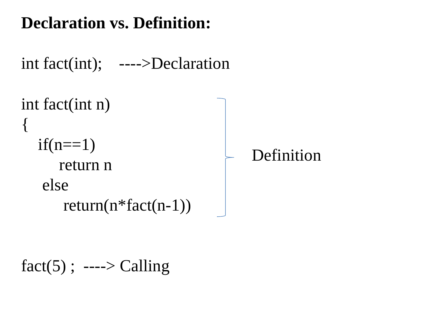## **Declaration vs. Definition:**

```
int fact(int); ---->Declaration
```

```
int fact(int n)
{<br>{
  if(n==1)return n
   else
       return(n*fact(n-1))
                                      Definition
```

```
fact(5); ----> Calling
```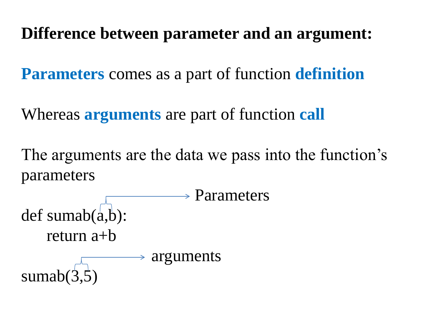### **Difference between parameter and an argument:**

**Parameters** comes as a part of function **definition**

Whereas **arguments** are part of function **call**

The arguments are the data we pass into the function's parameters

 $\rightarrow$  Parameters def sumab $(a,b)$ : return a+b  $\rightarrow$  arguments sumab $(3)$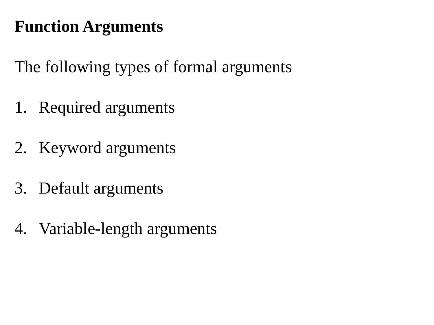## **Function Arguments**

The following types of formal arguments

- 1. Required arguments
- 2. Keyword arguments
- 3. Default arguments
- 4. Variable-length arguments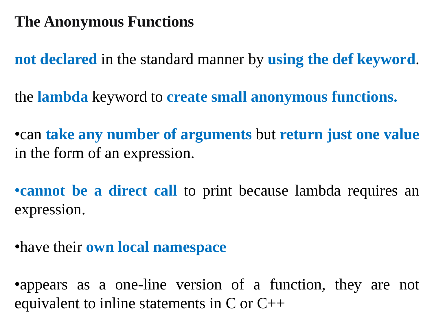### **The Anonymous Functions**

**not declared** in the standard manner by **using the def keyword**.

the **lambda** keyword to **create small anonymous functions.**

•can **take any number of arguments** but **return just one value** in the form of an expression.

•**cannot be a direct call** to print because lambda requires an expression.

•have their **own local namespace**

•appears as a one-line version of a function, they are not equivalent to inline statements in  $C$  or  $C++$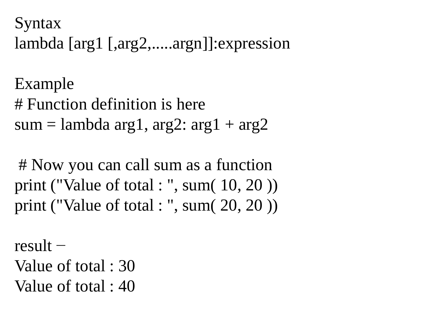Syntax lambda [arg1 [,arg2,.....argn]]:expression

Example # Function definition is here sum = lambda arg1, arg2:  $arg1 + arg2$ 

# Now you can call sum as a function print ("Value of total : ", sum( 10, 20 )) print ("Value of total : ", sum( 20, 20 ))

result − Value of total : 30 Value of total : 40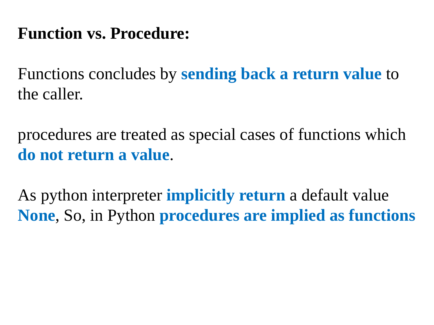## **Function vs. Procedure:**

Functions concludes by **sending back a return value** to the caller.

procedures are treated as special cases of functions which **do not return a value**.

As python interpreter **implicitly return** a default value **None**, So, in Python **procedures are implied as functions**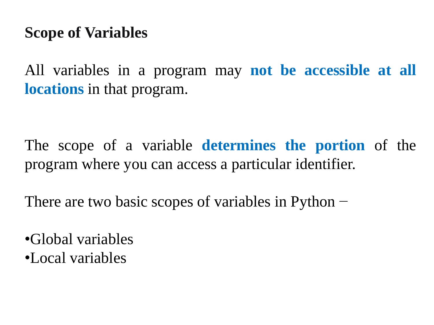### **Scope of Variables**

All variables in a program may **not be accessible at all locations** in that program.

The scope of a variable **determines the portion** of the program where you can access a particular identifier.

There are two basic scopes of variables in Python –

•Global variables •Local variables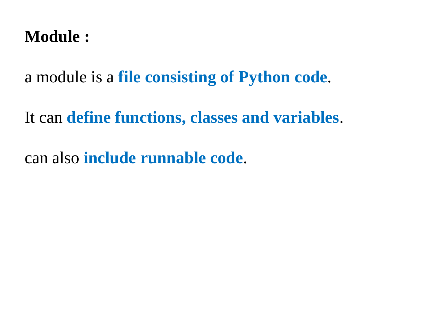### **Module :**

a module is a **file consisting of Python code**.

It can **define functions, classes and variables**.

can also **include runnable code**.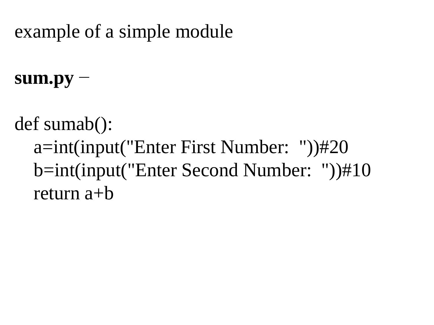## example of a simple module

**sum.py** −

def sumab():

a=int(input("Enter First Number: "))#20 b=int(input("Enter Second Number: "))#10 return a+b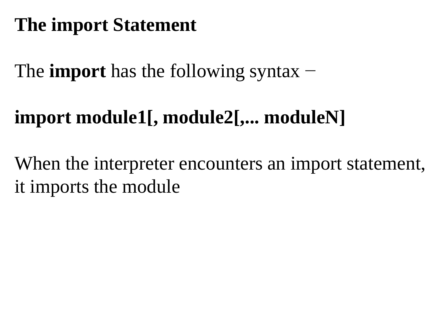# **The import Statement**

The **import** has the following syntax −

# **import module1[, module2[,... moduleN]**

When the interpreter encounters an import statement, it imports the module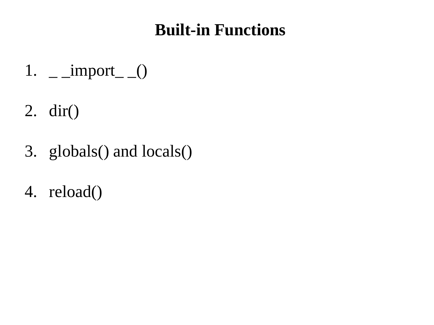## **Built-in Functions**

- 1.  $\equiv$  \_import\_ $\equiv$  ()
- 2. dir()
- 3. globals() and locals()
- 4. reload()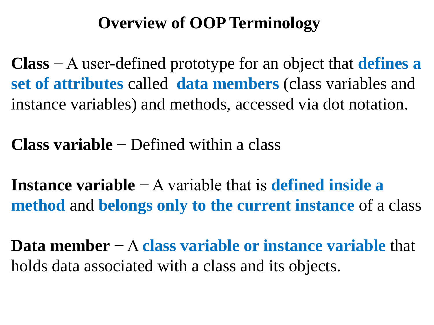## **Overview of OOP Terminology**

**Class** − A user-defined prototype for an object that **defines a set of attributes** called **data members** (class variables and instance variables) and methods, accessed via dot notation.

**Class variable** − Defined within a class

**Instance variable** − A variable that is **defined inside a method** and **belongs only to the current instance** of a class

**Data member** − A **class variable or instance variable** that holds data associated with a class and its objects.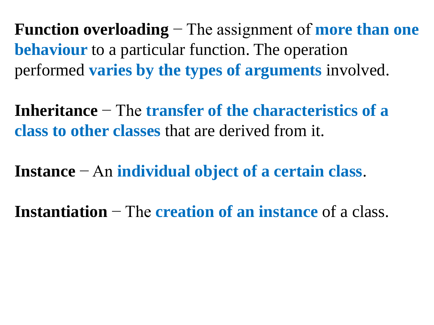**Function overloading** − The assignment of **more than one behaviour** to a particular function. The operation performed **varies by the types of arguments** involved.

**Inheritance** − The **transfer of the characteristics of a class to other classes** that are derived from it.

**Instance** − An **individual object of a certain class**.

**Instantiation** − The **creation of an instance** of a class.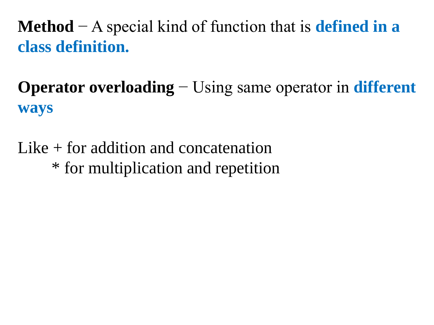**Method** − A special kind of function that is **defined in a class definition.**

**Operator overloading** − Using same operator in **different ways**

Like + for addition and concatenation \* for multiplication and repetition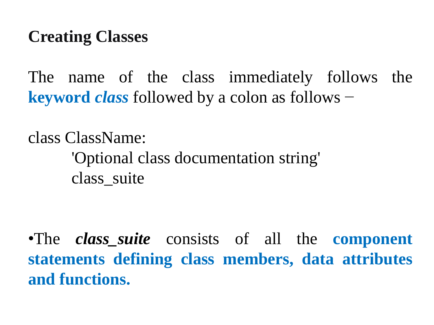### **Creating Classes**

The name of the class immediately follows the **keyword** *class* followed by a colon as follows −

class ClassName: 'Optional class documentation string' class\_suite

•The *class\_suite* consists of all the **component statements defining class members, data attributes and functions.**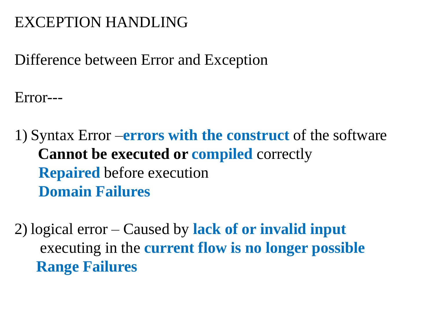### EXCEPTION HANDLING

Difference between Error and Exception

Error---

1) Syntax Error –**errors with the construct** of the software **Cannot be executed or compiled** correctly **Repaired** before execution **Domain Failures**

2) logical error – Caused by **lack of or invalid input** executing in the **current flow is no longer possible Range Failures**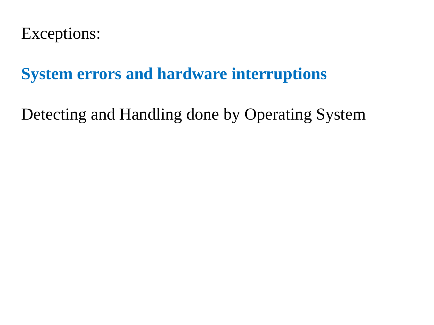Exceptions:

**System errors and hardware interruptions**

Detecting and Handling done by Operating System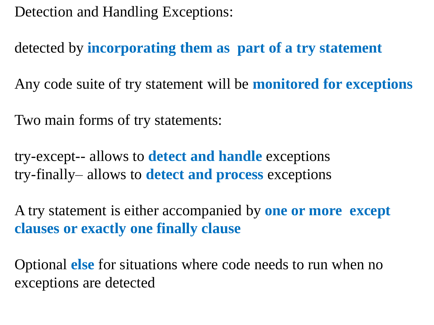Detection and Handling Exceptions:

detected by **incorporating them as part of a try statement**

Any code suite of try statement will be **monitored for exceptions**

Two main forms of try statements:

try-except-- allows to **detect and handle** exceptions try-finally– allows to **detect and process** exceptions

A try statement is either accompanied by **one or more except clauses or exactly one finally clause**

Optional **else** for situations where code needs to run when no exceptions are detected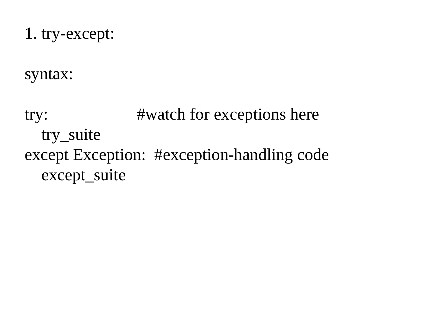1. try-except:

syntax:

try: #watch for exceptions here try\_suite except Exception: #exception-handling code except\_suite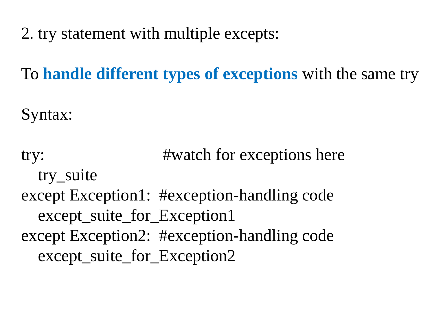2. try statement with multiple excepts:

To **handle different types of exceptions** with the same try

Syntax:

try: #watch for exceptions here try\_suite except Exception1: #exception-handling code except\_suite\_for\_Exception1 except Exception2: #exception-handling code except\_suite\_for\_Exception2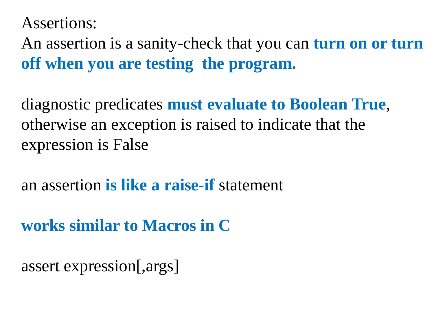Assertions:

An assertion is a sanity-check that you can **turn on or turn off when you are testing the program.**

diagnostic predicates **must evaluate to Boolean True**, otherwise an exception is raised to indicate that the expression is False

an assertion **is like a raise-if** statement

**works similar to Macros in C**

assert expression[,args]